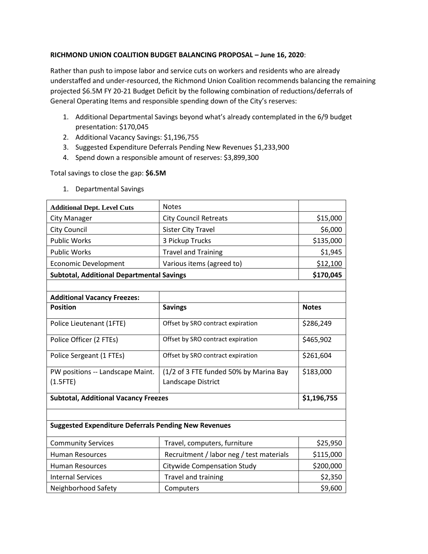## **RICHMOND UNION COALITION BUDGET BALANCING PROPOSAL – June 16, 2020**:

Rather than push to impose labor and service cuts on workers and residents who are already understaffed and under-resourced, the Richmond Union Coalition recommends balancing the remaining projected \$6.5M FY 20-21 Budget Deficit by the following combination of reductions/deferrals of General Operating Items and responsible spending down of the City's reserves:

- 1. Additional Departmental Savings beyond what's already contemplated in the 6/9 budget presentation: \$170,045
- 2. Additional Vacancy Savings: \$1,196,755
- 3. Suggested Expenditure Deferrals Pending New Revenues \$1,233,900
- 4. Spend down a responsible amount of reserves: \$3,899,300

Total savings to close the gap: **\$6.5M**

| <b>Additional Dept. Level Cuts</b>                          | <b>Notes</b>                             |              |  |  |
|-------------------------------------------------------------|------------------------------------------|--------------|--|--|
| <b>City Manager</b>                                         | <b>City Council Retreats</b>             | \$15,000     |  |  |
| City Council                                                | <b>Sister City Travel</b>                | \$6,000      |  |  |
| <b>Public Works</b>                                         | 3 Pickup Trucks                          | \$135,000    |  |  |
| <b>Public Works</b>                                         | <b>Travel and Training</b>               | \$1,945      |  |  |
| <b>Economic Development</b>                                 | Various items (agreed to)                | \$12,100     |  |  |
| <b>Subtotal, Additional Departmental Savings</b>            |                                          | \$170,045    |  |  |
|                                                             |                                          |              |  |  |
| <b>Additional Vacancy Freezes:</b>                          |                                          |              |  |  |
| <b>Position</b>                                             | <b>Savings</b>                           | <b>Notes</b> |  |  |
| Police Lieutenant (1FTE)                                    | Offset by SRO contract expiration        | \$286,249    |  |  |
| Police Officer (2 FTEs)                                     | Offset by SRO contract expiration        | \$465,902    |  |  |
| Police Sergeant (1 FTEs)                                    | Offset by SRO contract expiration        | \$261,604    |  |  |
| PW positions -- Landscape Maint.                            | (1/2 of 3 FTE funded 50% by Marina Bay   | \$183,000    |  |  |
| $(1.5$ FTE)                                                 | Landscape District                       |              |  |  |
| <b>Subtotal, Additional Vacancy Freezes</b>                 |                                          | \$1,196,755  |  |  |
|                                                             |                                          |              |  |  |
| <b>Suggested Expenditure Deferrals Pending New Revenues</b> |                                          |              |  |  |
| <b>Community Services</b>                                   | Travel, computers, furniture             | \$25,950     |  |  |
| <b>Human Resources</b>                                      | Recruitment / labor neg / test materials | \$115,000    |  |  |
| <b>Human Resources</b>                                      | <b>Citywide Compensation Study</b>       | \$200,000    |  |  |
| <b>Internal Services</b>                                    | Travel and training                      | \$2,350      |  |  |
| Neighborhood Safety                                         | Computers                                | \$9,600      |  |  |

1. Departmental Savings